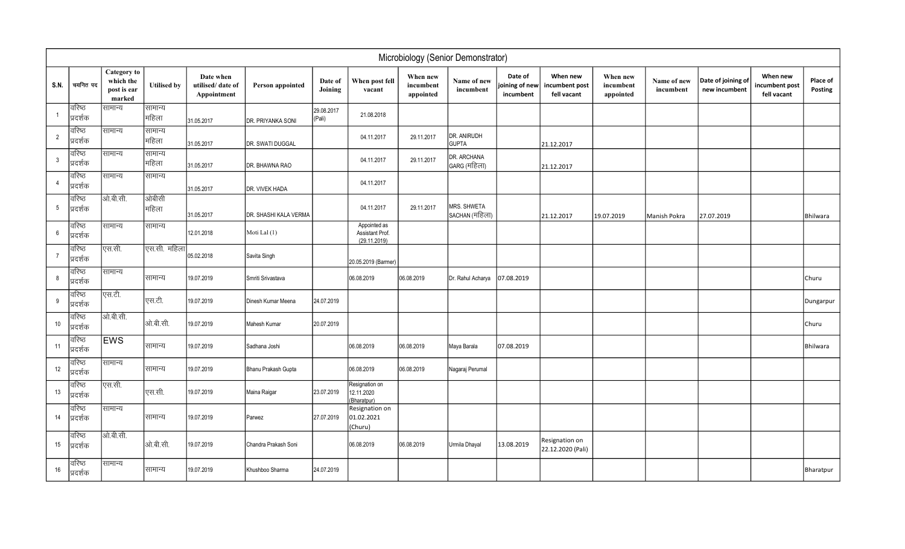|                 | Microbiology (Senior Demonstrator) |                                                   |                    |                                              |                       |                      |                                                 |                                    |                               |                                        |                                           |                                    |                          |                                     |                                           |                            |
|-----------------|------------------------------------|---------------------------------------------------|--------------------|----------------------------------------------|-----------------------|----------------------|-------------------------------------------------|------------------------------------|-------------------------------|----------------------------------------|-------------------------------------------|------------------------------------|--------------------------|-------------------------------------|-------------------------------------------|----------------------------|
| S.N.            | चयनित पद                           | Category to<br>which the<br>post is ear<br>marked | <b>Utilised by</b> | Date when<br>utilised/date of<br>Appointment | Person appointed      | Date of<br>Joining   | When post fell<br>vacant                        | When new<br>incumbent<br>appointed | Name of new<br>incumbent      | Date of<br>joining of new<br>incumbent | When new<br>incumbent post<br>fell vacant | When new<br>incumbent<br>appointed | Name of new<br>incumbent | Date of joining of<br>new incumbent | When new<br>incumbent post<br>fell vacant | <b>Place of</b><br>Posting |
|                 | वरिष्ठ<br>प्रदर्शक                 | सामान्य                                           | सामान्य<br> महिला  | 31.05.2017                                   | DR. PRIYANKA SONI     | 29.08.2017<br>(Pali) | 21.08.2018                                      |                                    |                               |                                        |                                           |                                    |                          |                                     |                                           |                            |
| $\overline{2}$  | वरिष्ठ<br>प्रदर्शक                 | सामान्य                                           | सामान्य<br> महिला  | 31.05.2017                                   | DR. SWATI DUGGAL      |                      | 04.11.2017                                      | 29.11.2017                         | DR. ANIRUDH<br><b>GUPTA</b>   |                                        | 21.12.2017                                |                                    |                          |                                     |                                           |                            |
| $\mathbf{3}$    | वरिष्ठ<br>प्रदर्शक                 | सामान्य                                           | सामान्य<br> महिला  | 31.05.2017                                   | DR. BHAWNA RAO        |                      | 04.11.2017                                      | 29.11.2017                         | DR. ARCHANA<br>GARG (महिला)   |                                        | 21.12.2017                                |                                    |                          |                                     |                                           |                            |
| $\overline{4}$  | वरिष्ठ<br>प्रदर्शक                 | सामान्य                                           | सामान्य            | 31.05.2017                                   | DR. VIVEK HADA        |                      | 04.11.2017                                      |                                    |                               |                                        |                                           |                                    |                          |                                     |                                           |                            |
| $5\phantom{.0}$ | वरिष्ठ<br>प्रदर्शक                 | ओ.बी.सी.                                          | ओबीसी<br> महिला    | 31.05.2017                                   | DR. SHASHI KALA VERMA |                      | 04.11.2017                                      | 29.11.2017                         | MRS. SHWETA<br>SACHAN (महिला) |                                        | 21.12.2017                                | 19.07.2019                         | Manish Pokra             | 27.07.2019                          |                                           | Bhilwara                   |
| 6               | वरिष्ठ<br>प्रदर्शक                 | सामान्य                                           | सामान्य            | 12.01.2018                                   | Moti Lal (1)          |                      | Appointed as<br>Assistant Prof.<br>(29.11.2019) |                                    |                               |                                        |                                           |                                    |                          |                                     |                                           |                            |
| $\overline{7}$  | वरिष्ठ<br>प्रदर्शक                 | एस.सी.                                            | एस.सी. महिला       | 05.02.2018                                   | Savita Singh          |                      | 20.05.2019 (Barmer)                             |                                    |                               |                                        |                                           |                                    |                          |                                     |                                           |                            |
| 8               | वरिष्ठ<br>प्रदर्शक                 | सामान्य                                           | सामान्य            | 19.07.2019                                   | Smriti Srivastava     |                      | 06.08.2019                                      | 06.08.2019                         | Dr. Rahul Acharya             | 07.08.2019                             |                                           |                                    |                          |                                     |                                           | Churu                      |
| 9               | वरिष्ठ<br>'प्रदर्शक                | एस.टी.                                            | एस.टी.             | 19.07.2019                                   | Dinesh Kumar Meena    | 24.07.2019           |                                                 |                                    |                               |                                        |                                           |                                    |                          |                                     |                                           | Dungarpur                  |
| 10              | वरिष्ठ<br>'प्रदर्शक                | ओ.बी.सी.                                          | आे.बी.सी.          | 19.07.2019                                   | Mahesh Kumar          | 20.07.2019           |                                                 |                                    |                               |                                        |                                           |                                    |                          |                                     |                                           | Churu                      |
| 11              | वरिष्ठ<br>प्रदर्शक                 | <b>EWS</b>                                        | सामान्य            | 19.07.2019                                   | Sadhana Joshi         |                      | 06.08.2019                                      | 06.08.2019                         | Maya Barala                   | 07.08.2019                             |                                           |                                    |                          |                                     |                                           | Bhilwara                   |
| 12              | वरिष्ठ<br>प्रदर्शक                 | सामान्य                                           | सामान्य            | 19.07.2019                                   | Bhanu Prakash Gupta   |                      | 06.08.2019                                      | 06.08.2019                         | Nagaraj Perumal               |                                        |                                           |                                    |                          |                                     |                                           |                            |
| 13              | वरिष्ठ<br>प्रदर्शक                 | एस.सी.                                            | एस.सी.             | 19.07.2019                                   | Maina Raigar          | 23.07.2019           | Resignation on<br>12.11.2020<br>(Bharatpur)     |                                    |                               |                                        |                                           |                                    |                          |                                     |                                           |                            |
| 14              | वरिष्ठ<br>प्रदर्शक                 | सामान्य                                           | सामान्य            | 19.07.2019                                   | Parwez                | 27.07.2019           | Resignation on<br>01.02.2021<br>(Churu)         |                                    |                               |                                        |                                           |                                    |                          |                                     |                                           |                            |
| 15              | वरिष्ठ<br>प्रदर्शक                 | ओ.बी.सी.                                          | आे.बी.सी.          | 19.07.2019                                   | Chandra Prakash Soni  |                      | 06.08.2019                                      | 06.08.2019                         | Urmila Dhayal                 | 13.08.2019                             | Resignation on<br>22.12.2020 (Pali)       |                                    |                          |                                     |                                           |                            |
| 16              | वरिष्ठ<br>प्रदर्शक                 | सामान्य                                           | सामान्य            | 19.07.2019                                   | Khushboo Sharma       | 24.07.2019           |                                                 |                                    |                               |                                        |                                           |                                    |                          |                                     |                                           | Bharatpur                  |